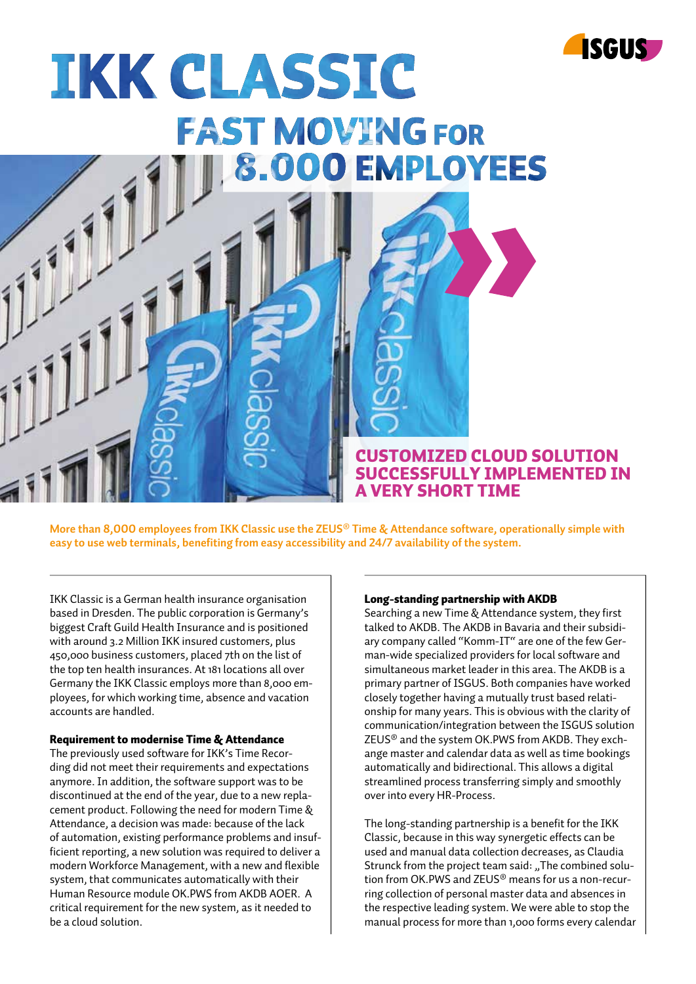

# **IKK CLASSIC FAST MOVING FOR O EMPLOYEES TOTO**

CUSTOMIZED CLOUD SOLUTION SUCCESSFULLY IMPLEMENTED IN A VERY SHORT TIME

**More than 8,000 employees from IKK Classic use the ZEUS® Time & Attendance software, operationally simple with easy to use web terminals, benefiting from easy accessibility and 24/7 availability of the system.** 

IKK Classic is a German health insurance organisation based in Dresden. The public corporation is Germany's biggest Craft Guild Health Insurance and is positioned with around 3.2 Million IKK insured customers, plus 450,000 business customers, placed 7th on the list of the top ten health insurances. At 181 locations all over Germany the IKK Classic employs more than 8,000 employees, for which working time, absence and vacation accounts are handled.

### Requirement to modernise Time & Attendance

The previously used software for IKK's Time Recording did not meet their requirements and expectations anymore. In addition, the software support was to be discontinued at the end of the year, due to a new replacement product. Following the need for modern Time & Attendance, a decision was made: because of the lack of automation, existing performance problems and insufficient reporting, a new solution was required to deliver a modern Workforce Management, with a new and flexible system, that communicates automatically with their Human Resource module OK.PWS from AKDB AOER. A critical requirement for the new system, as it needed to be a cloud solution.

#### Long-standing partnership with AKDB

Searching a new Time & Attendance system, they first talked to AKDB. The AKDB in Bavaria and their subsidiary company called "Komm-IT" are one of the few German-wide specialized providers for local software and simultaneous market leader in this area. The AKDB is a primary partner of ISGUS. Both companies have worked closely together having a mutually trust based relationship for many years. This is obvious with the clarity of communication/integration between the ISGUS solution ZEUS® and the system OK.PWS from AKDB. They exchange master and calendar data as well as time bookings automatically and bidirectional. This allows a digital streamlined process transferring simply and smoothly over into every HR-Process.

The long-standing partnership is a benefit for the IKK Classic, because in this way synergetic effects can be used and manual data collection decreases, as Claudia Strunck from the project team said: "The combined solution from OK.PWS and ZEUS® means for us a non-recurring collection of personal master data and absences in the respective leading system. We were able to stop the manual process for more than 1,000 forms every calendar